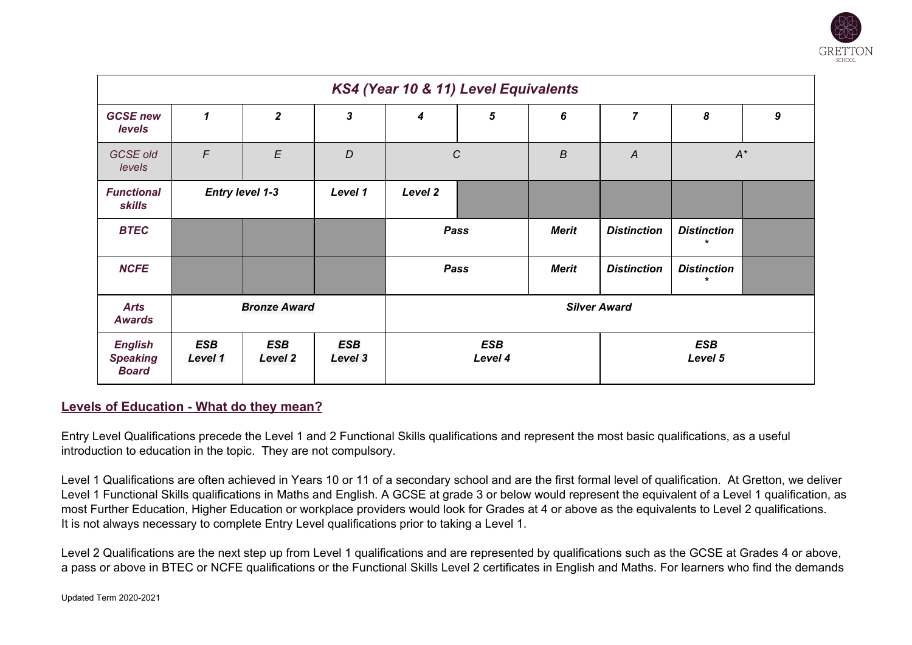

| KS4 (Year 10 & 11) Level Equivalents              |                                                                                |                           |         |                       |   |                  |                       |                              |                  |
|---------------------------------------------------|--------------------------------------------------------------------------------|---------------------------|---------|-----------------------|---|------------------|-----------------------|------------------------------|------------------|
| <b>GCSE new</b><br><b>levels</b>                  | 1                                                                              | $\overline{2}$            | 3       | 4                     | 5 | 6                | $\overline{7}$        | 8                            | $\boldsymbol{9}$ |
| <b>GCSE old</b><br>levels                         | $\mathcal{F}$                                                                  | $\boldsymbol{\mathsf{E}}$ | D       | $\boldsymbol{C}$      |   | $\boldsymbol{B}$ | $\overline{A}$        | $A^*$                        |                  |
| <b>Functional</b><br><b>skills</b>                | <b>Entry level 1-3</b>                                                         |                           | Level 1 | Level 2               |   |                  |                       |                              |                  |
| <b>BTEC</b>                                       |                                                                                |                           |         | Pass                  |   | <b>Merit</b>     | <b>Distinction</b>    | <b>Distinction</b>           |                  |
| <b>NCFE</b>                                       |                                                                                |                           |         | Pass                  |   | <b>Merit</b>     | <b>Distinction</b>    | <b>Distinction</b><br>$\ast$ |                  |
| <b>Arts</b><br><b>Awards</b>                      | <b>Bronze Award</b>                                                            |                           |         | <b>Silver Award</b>   |   |                  |                       |                              |                  |
| <b>English</b><br><b>Speaking</b><br><b>Board</b> | <b>ESB</b><br><b>ESB</b><br><b>ESB</b><br>Level 1<br><b>Level 2</b><br>Level 3 |                           |         | <b>ESB</b><br>Level 4 |   |                  | <b>ESB</b><br>Level 5 |                              |                  |

## **Levels of Education - What do they mean?**

Entry Level Qualifications precede the Level 1 and 2 Functional Skills qualifications and represent the most basic qualifications, as a useful introduction to education in the topic. They are not compulsory.

Level 1 Qualifications are often achieved in Years 10 or 11 of a secondary school and are the first formal level of qualification. At Gretton, we deliver Level 1 Functional Skills qualifications in Maths and English. A GCSE at grade 3 or below would represent the equivalent of a Level 1 qualification, as most Further Education, Higher Education or workplace providers would look for Grades at 4 or above as the equivalents to Level 2 qualifications. It is not always necessary to complete Entry Level qualifications prior to taking a Level 1.

Level 2 Qualifications are the next step up from Level 1 qualifications and are represented by qualifications such as the GCSE at Grades 4 or above, a pass or above in BTEC or NCFE qualifications or the Functional Skills Level 2 certificates in English and Maths. For learners who find the demands